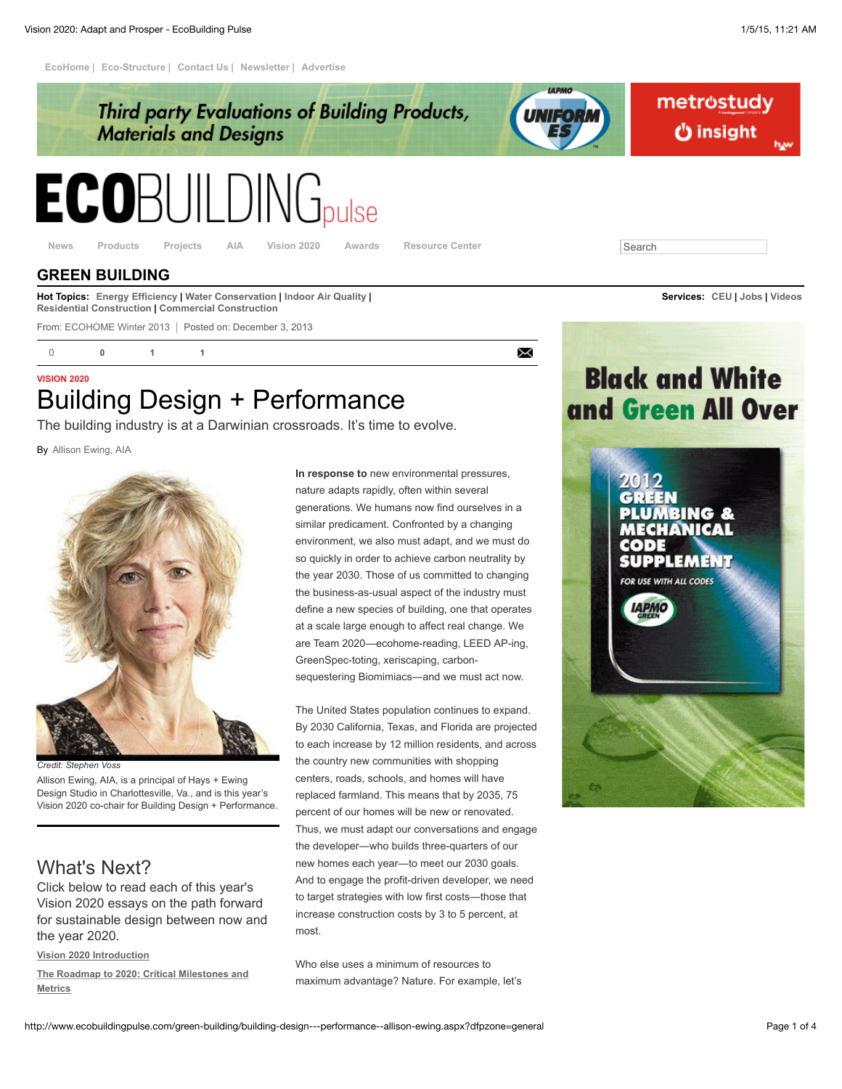**[EcoHome](http://www.ecobuildingpulse.com/toc/ecohome-magazine.aspx) | [Eco-Structure](http://www.ecobuildingpulse.com/toc/eco-structure-magazine.aspx) | [Contact Us](http://www.ecobuildingpulse.com/contact-us.aspx) | [Newsletter](https://hanleywood.omeda.com/ecos/nlet.do?p=DISEBPHPG) | [Advertise](http://www.ecobuildingpulse.com/about/advertise.aspx)**



From: [ECOHOME](http://www.ecohomemagazine.com/) [Winter](http://www.ecobuildingpulse.com/table-of-contents/ECOHOME/2013/Winter.aspx) [2013](http://www.ecobuildingpulse.com/table-of-contents/ECOHOME/2013.aspx) | Posted on: December 3, 2013

[0](http://www.ecobuildingpulse.com/green-building/building-design---performance--allison-ewing.aspx?dfpzone=general#articlecomments) **0 1 1**

 $\times$ 

# **VISION 2020** Building Design + Performance

The building industry is at a Darwinian crossroads. It's time to evolve.

By [Allison Ewing, AIA](http://www.ecobuildingpulse.com/find-articles.aspx?byline=Allison%20Ewing%2C%20AIA)



*Credit: Stephen Voss*

Allison Ewing, AIA, is a principal of Hays + Ewing Design Studio in Charlottesville, Va., and is this year's Vision 2020 co-chair for Building Design + Performance.

## What's Next?

Click below to read each of this year's Vision 2020 essays on the path forward for sustainable design between now and the year 2020.

**[Vision 2020 Introduction](http://www.ecobuildingpulse.com/green-builders/vision-2020-intro.aspx)**

**[The Roadmap to 2020: Critical Milestones and](http://www.ecobuildingpulse.com/green-building/critical-steps-to-the-year-2020.aspx) Metrics**

**In response to** new environmental pressures, nature adapts rapidly, often within several generations. We humans now find ourselves in a similar predicament. Confronted by a changing environment, we also must adapt, and we must do so quickly in order to achieve carbon neutrality by the year 2030. Those of us committed to changing the business-as-usual aspect of the industry must define a new species of building, one that operates at a scale large enough to affect real change. We are Team 2020—ecohome-reading, LEED AP-ing, GreenSpec-toting, xeriscaping, carbonsequestering Biomimiacs—and we must act now.

The United States population continues to expand. By 2030 California, Texas, and Florida are projected to each increase by 12 million residents, and across the country new communities with shopping centers, roads, schools, and homes will have replaced farmland. This means that by 2035, 75 percent of our homes will be new or renovated. Thus, we must adapt our conversations and engage the developer—who builds three-quarters of our new homes each year—to meet our 2030 goals. And to engage the profit-driven developer, we need to target strategies with low first costs—those that increase construction costs by 3 to 5 percent, at most.

Who else uses a minimum of resources to maximum advantage? Nature. For example, let's

**Black and White** and Green All Over

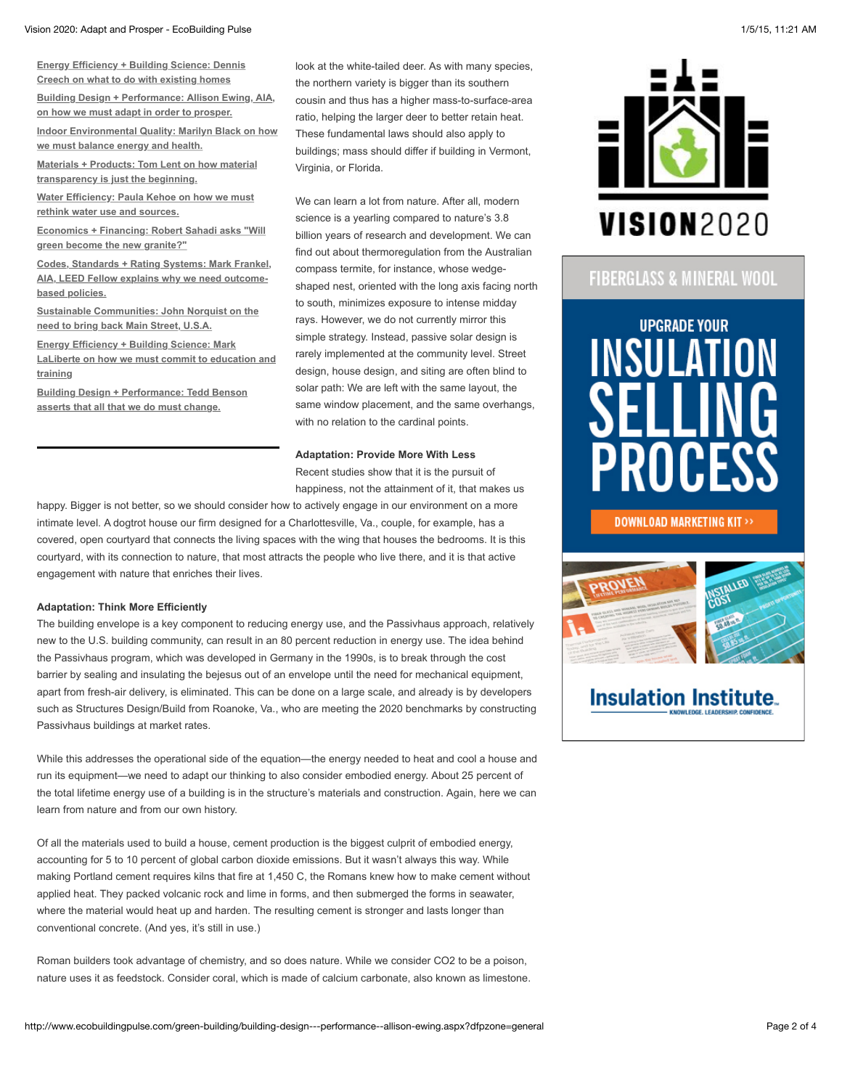#### Vision 2020: Adapt and Prosper - EcoBuilding Pulse 1/5/15, 11:21 AM

**[Energy Efficiency + Building Science: Dennis](http://www.ecobuildingpulse.com/energy-efficiency/energy-efficiency---building-science--dennis-creech.aspx) Creech on what to do with existing homes**

**[Building Design + Performance: Allison Ewing, AIA,](http://www.ecobuildingpulse.com/green-building/building-design---performance--allison-ewing.aspx) on how we must adapt in order to prosper.**

**[Indoor Environmental Quality: Marilyn Black on how](http://www.ecobuildingpulse.com/indoor-air-quality/indoor-environmental-quality--marilyn-black.aspx) we must balance energy and health.**

**[Materials + Products: Tom Lent on how material](http://www.ecobuildingpulse.com/building-materials/materials---products--tom-lent.aspx) transparency is just the beginning.**

**[Water Efficiency: Paula Kehoe on how we must](http://www.ecobuildingpulse.com/water-conservation/water-efficiency--paula-kehoe.aspx) rethink water use and sources.**

**[Economics + Financing: Robert Sahadi asks "Will](http://www.ecobuildingpulse.com/green-sales-and-marketing/economics---financing--robert-sahadi.aspx) green become the new granite?"**

**Codes, Standards + Rating Systems: Mark Frankel, [AIA, LEED Fellow explains why we need outcome](http://www.ecobuildingpulse.com/codes-and-standards/codes--standards---rating-systems--mark-frankel.aspx)based policies.**

**[Sustainable Communities: John Norquist on the](http://www.ecobuildingpulse.com/green-communities/sustainable-communities--john-norquist.aspx) need to bring back Main Street, U.S.A.**

**Energy Efficiency + Building Science: Mark [LaLiberte on how we must commit to education and](http://www.ecobuildingpulse.com/energy-efficiency/energy-efficiency---building-science--mark-laliberte.aspx) training**

**[Building Design + Performance: Tedd Benson](http://www.ecobuildingpulse.com/green-builders/building-design---performance--tedd-benson.aspx) asserts that all that we do must change.**

look at the white-tailed deer. As with many species, the northern variety is bigger than its southern cousin and thus has a higher mass-to-surface-area ratio, helping the larger deer to better retain heat. These fundamental laws should also apply to buildings; mass should differ if building in Vermont, Virginia, or Florida.

We can learn a lot from nature. After all, modern science is a yearling compared to nature's 3.8 billion years of research and development. We can find out about thermoregulation from the Australian compass termite, for instance, whose wedgeshaped nest, oriented with the long axis facing north to south, minimizes exposure to intense midday rays. However, we do not currently mirror this simple strategy. Instead, passive solar design is rarely implemented at the community level. Street design, house design, and siting are often blind to solar path: We are left with the same layout, the same window placement, and the same overhangs, with no relation to the cardinal points.

## **Adaptation: Provide More With Less**

Recent studies show that it is the pursuit of happiness, not the attainment of it, that makes us

happy. Bigger is not better, so we should consider how to actively engage in our environment on a more intimate level. A dogtrot house our firm designed for a Charlottesville, Va., couple, for example, has a covered, open courtyard that connects the living spaces with the wing that houses the bedrooms. It is this courtyard, with its connection to nature, that most attracts the people who live there, and it is that active engagement with nature that enriches their lives.

### **Adaptation: Think More Efficiently**

The building envelope is a key component to reducing energy use, and the Passivhaus approach, relatively new to the U.S. building community, can result in an 80 percent reduction in energy use. The idea behind the Passivhaus program, which was developed in Germany in the 1990s, is to break through the cost barrier by sealing and insulating the bejesus out of an envelope until the need for mechanical equipment, apart from fresh-air delivery, is eliminated. This can be done on a large scale, and already is by developers such as Structures Design/Build from Roanoke, Va., who are meeting the 2020 benchmarks by constructing Passivhaus buildings at market rates.

While this addresses the operational side of the equation—the energy needed to heat and cool a house and run its equipment—we need to adapt our thinking to also consider embodied energy. About 25 percent of the total lifetime energy use of a building is in the structure's materials and construction. Again, here we can learn from nature and from our own history.

Of all the materials used to build a house, cement production is the biggest culprit of embodied energy, accounting for 5 to 10 percent of global carbon dioxide emissions. But it wasn't always this way. While making Portland cement requires kilns that fire at 1,450 C, the Romans knew how to make cement without applied heat. They packed volcanic rock and lime in forms, and then submerged the forms in seawater, where the material would heat up and harden. The resulting cement is stronger and lasts longer than conventional concrete. (And yes, it's still in use.)

Roman builders took advantage of chemistry, and so does nature. While we consider CO2 to be a poison, nature uses it as feedstock. Consider coral, which is made of calcium carbonate, also known as limestone.



## FIBERGLASS & MINERAL WOOL



## **DOWNLOAD MARKETING KIT>>**



# **Insulation Institute.**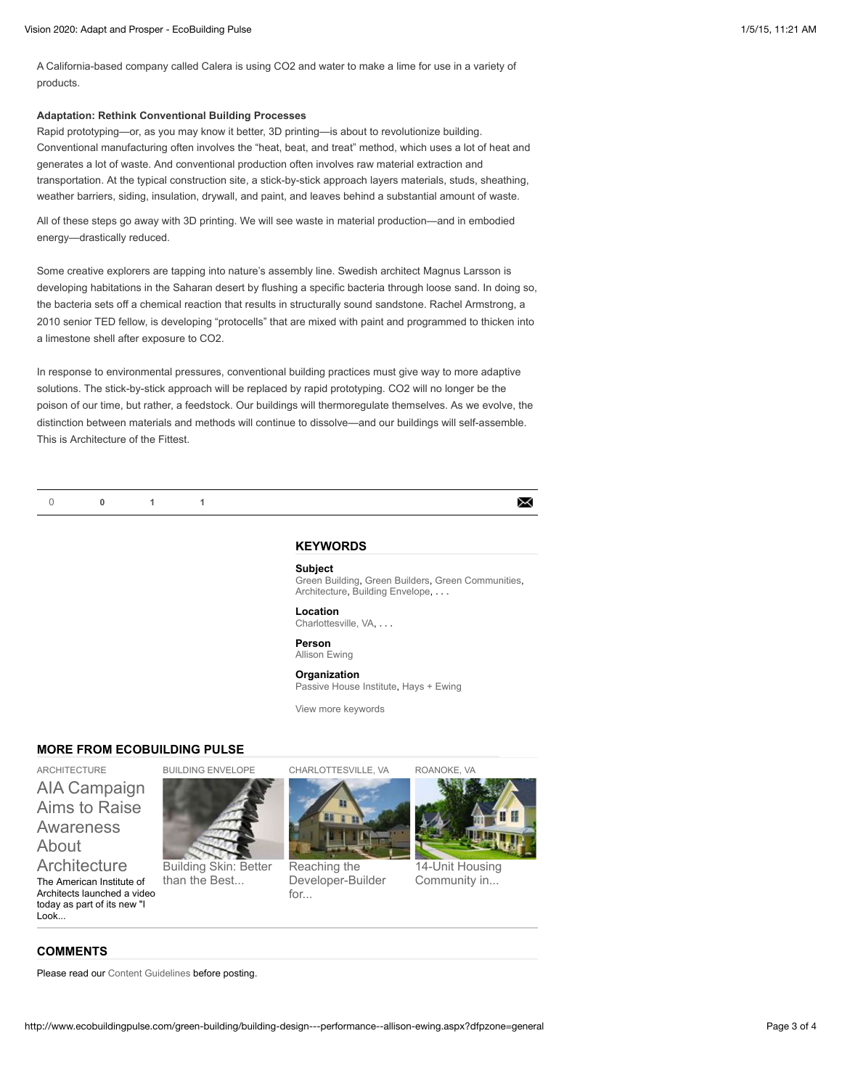A California-based company called Calera is using CO2 and water to make a lime for use in a variety of products.

### **Adaptation: Rethink Conventional Building Processes**

Rapid prototyping—or, as you may know it better, 3D printing—is about to revolutionize building. Conventional manufacturing often involves the "heat, beat, and treat" method, which uses a lot of heat and generates a lot of waste. And conventional production often involves raw material extraction and transportation. At the typical construction site, a stick-by-stick approach layers materials, studs, sheathing, weather barriers, siding, insulation, drywall, and paint, and leaves behind a substantial amount of waste.

All of these steps go away with 3D printing. We will see waste in material production—and in embodied energy—drastically reduced.

Some creative explorers are tapping into nature's assembly line. Swedish architect Magnus Larsson is developing habitations in the Saharan desert by flushing a specific bacteria through loose sand. In doing so, the bacteria sets off a chemical reaction that results in structurally sound sandstone. Rachel Armstrong, a 2010 senior TED fellow, is developing "protocells" that are mixed with paint and programmed to thicken into a limestone shell after exposure to CO2.

In response to environmental pressures, conventional building practices must give way to more adaptive solutions. The stick-by-stick approach will be replaced by rapid prototyping. CO2 will no longer be the poison of our time, but rather, a feedstock. Our buildings will thermoregulate themselves. As we evolve, the distinction between materials and methods will continue to dissolve—and our buildings will self-assemble. This is Architecture of the Fittest.

## **KEYWORDS**

#### **Subject**

[Green Building,](http://www.ecobuildingpulse.com/find-articles.aspx?subjects=Green+Building) [Green Builders,](http://www.ecobuildingpulse.com/find-articles.aspx?subjects=Green+Builders) [Green Communities](http://www.ecobuildingpulse.com/find-articles.aspx?subjects=Green+Communities), [Architecture,](http://www.ecobuildingpulse.com/find-articles.aspx?subjects=Architecture) [Building Envelope,](http://www.ecobuildingpulse.com/find-articles.aspx?subjects=Building+Envelope) **[. . .](http://www.ecobuildingpulse.com/green-building/building-design---performance--allison-ewing.aspx?dfpzone=general#)**

**Location** [Charlottesville, VA,](http://www.ecobuildingpulse.com/find-articles.aspx?location=Charlottesville%2c+VA) **[. . .](http://www.ecobuildingpulse.com/green-building/building-design---performance--allison-ewing.aspx?dfpzone=general#)**

**Person** [Allison Ewing](http://www.ecobuildingpulse.com/find-articles.aspx?person=Allison+Ewing)

### **Organization**

[Passive House Institute,](http://www.ecobuildingpulse.com/find-articles.aspx?organization=Passive+House+Institute) [Hays + Ewing](http://www.ecobuildingpulse.com/find-articles.aspx?organization=Hays+%2b+Ewing)

[View more keywords](http://www.ecobuildingpulse.com/green-building/building-design---performance--allison-ewing.aspx?dfpzone=general#)

## **MORE FROM ECOBUILDING PULSE**

[ARCHITECTURE](http://www.ecobuildingpulse.com/find-articles.aspx?subjects=Architecture) [AIA Campaign](http://www.ecobuildingpulse.com/architecture/aia-campaign-aims-to-raise-awareness-about-architecture_c.aspx) Aims to Raise Awareness About

**Architecture** The American Institute of Architects launched a video today as part of its new "I Look...



than the Best...



[CHARLOTTESVILLE, VA](http://www.ecobuildingpulse.com/find-articles.aspx?location=Charlottesville%2c+VA)

[Building Skin: Better](http://www.ecobuildingpulse.com/energy-efficiency/building-skin-better-than-the-best-insulation_c.aspx) Reaching the [Developer-Builder](http://www.ecobuildingpulse.com/carbon-footprint/reaching-the-developer-builder-for-evolutionary-change-.aspx) for...



X

[14-Unit Housing](http://www.ecobuildingpulse.com/energy-efficient-design/leading-by-example.aspx) Community in...

[ROANOKE, VA](http://www.ecobuildingpulse.com/find-articles.aspx?location=Roanoke%2c+VA)

## **COMMENTS**

Please read our [Content Guidelines](http://www.ecobuildingpulse.com/about/content-guidelines.aspx) before posting.